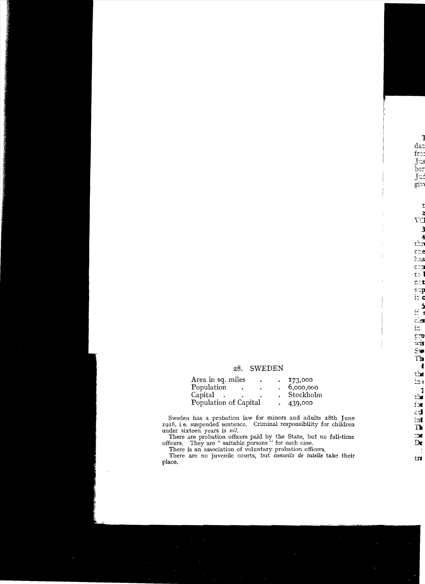## 28. SWEDEN

| Area in sq. miles<br>٠ | 173,000   |
|------------------------|-----------|
| Population             | 6,000,000 |
| Capital                | Stockholm |
| Population of Capital  | 439,000   |

Sweden has a probation law for minors and adults 28th June 1918, i.e. suspended sentence. Criminal responsibility for children under sixteen years is nil.

There are probation officers paid by the State, but no full-time<br>officers. They are " suitable persons " for each case.<br>There is an association of voluntary probation officers.<br>There are no juvenile courts, but *conseils d* 

place.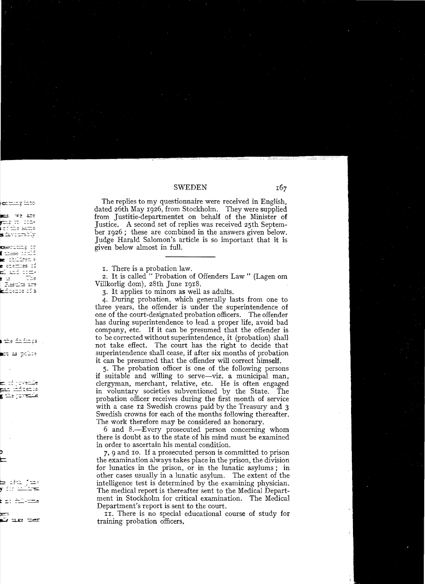# SWEDEN

The replies to my questionnaire were received in English, dated 26th May 1926, from Stockholm. They were supplied from Justitie-departmentet on behalf of the Minister of Justice. A second set of replies was received 25th September 1926; these are combined in the answers given below. Judge Haraid Salomon's article is so important that it is given below almost in full.

I. There is a probation law.

2. It is called " Probation of Offenders Law " (Lagen om Villkorlig dom), 28th June 1918.

3. It applies to minors as weil as adults.

4. During probation, which generally lasts from one to three years, the offender is under the superintendence of one of the court-designated probation officers. The offender has during superintendence to lead a proper life, avoid bad company, etc. If it can be presumed that the offender is to be corrected without superintendence, it (probation) shall not take effect. The court has the right to decide that superintendence shall cease, if after six months of probation it can be presumed that the offender will correct himself.

5. The probation officer is one of the following persons if suitable and willing to serve-viz. a municipal man, clergyman, merchant, relative, etc. He is often engaged in voluntary societies subventioned by the State. The probation officer receives during the first month of service with a case 12 Swedish crowns paid by the Treasury and 3 Swedish crowns for each of the months following thereafter. The work therefore may be considered as honorary.

6 and 8.-Every prosecuted person concerning whom there is doubt as to the state of his mind must be examined in order to ascertain his mental condition.

7,9 and 10. If a prosecuted person is committed to prison the examination always takes place in the prison, the division for lunaties in the prison, or in the lunatie asylums; in other cases usually in a lunatie asylum. The extent of the intelligence test is determined by the examining physician. The medical report is thereafter sent to the Medical Department in Stockholm for critical examination. The Medical Department's report is sent to the court.

II. There is no special educational course of study for training probation officers.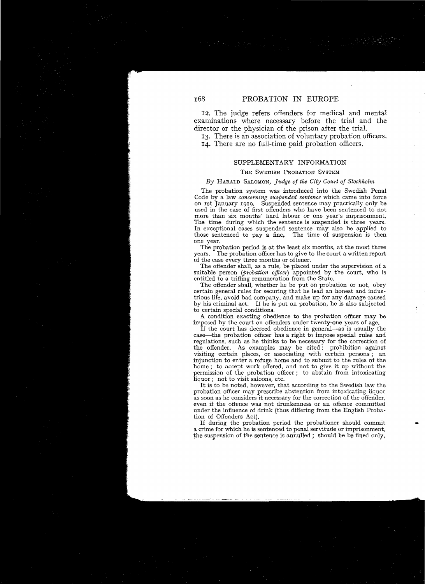*1Z.* The judge refers offenders for medical and mental examinations where necessary before the trial and the director or the physician of the prison after the trial.

13. There is an association of voluntary probation officers. 14. There are no fuil-time paid probation officers.

### SUPPLEMENTARY INFORMATION

#### THE SWEDISH PROBATION SYSTEM

### *By* HARALD SALOMON, *]udge of the City Court of Stockholm*

The probation system was introduced into the Swedish Penal Code by a law *concerning suspended sentence* which came into force on ist January 1919. Suspended sentence may practically only be used in the case of first offenders who have been sentenced to not more than six months' hard labour or one year's imprisonment. The time during which the sentence is suspended is three years. In exceptional cases suspended sentence mayalso be applied to those sentenced to pay a fine. The time of suspension is then one year.

The probation period is at the least six months, at the most three years. The probation officer has to give to the court a written report of the case every three months or oftener.

The offender shall, as a rule, be placed under the supervision of a suitable person *(probation officer)* appointed by the court, who is entitled to a trifling remuneration from the State.

The offender shall, whether he be put on probation or not, obey certain general rules for securing that he lead an honest and industrious life, avoid bad company, and make up for any damage caused<br>by his criminal act. If he is put on probation, he is also subjected If he is put on probation, he is also subjected to certain special conditions.

A condition exacting obedience to the probation officer may be imposed by the court on offenders under twenty-one years of age.

If the court has decreed obedience in general—as is usually the case-the probation officer has a right to impose special rules and regulations, such as he thinks to be necessary for the correction of the offender. As examples may be cited: prohibition against visiting certain places, or associating with certain persons ; an injunction to enter a refuge home and to submit to the rules of the home; to accept work offered, and not to give it up without the permission of the probation officer; to abstain from intoxicating liquor; not to visit saloons, etc.

It is to be noted, however, that according to the Swedish law the probation officer may prescribe abstention from intoxicating liquor as soon as he considers it necessary for the correction of the offender, even if the offence was not drunkenness or an offence committed under the influence of drink (thus differing from the English Probation of Offenders Act).<br>If during the probation period the probationer should commit

a crime for which he is sentenced to penal servitude or imprisonment, the suspension of the sentence is annulled; should be be fined only,